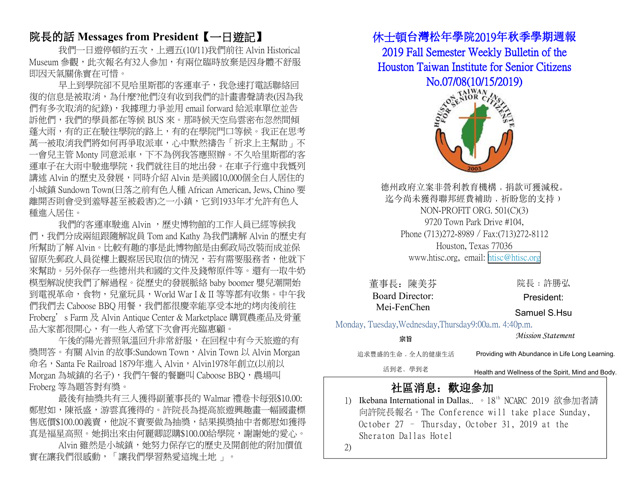## 院長的話 **Messages from President**【一日遊記】

我們一日遊停頓約五次,上週五(10/11)我們前往 Alvin Historical Museum 參觀,此次報名有32人參加,有兩位臨時放棄是因身體不舒服 即因天氣關係實在可惜。

早上到學院卻不見哈里斯郡的客運車子,我急速打電話聯絡回 復的信息是被取消,為什麼?他們沒有收到我們的計畫書聲請表(因為我 們有多次取消的紀錄),我據理力爭並用 email forward 給派車單位並告 訴他們,我們的學員都在等候 BUS 來。那時候天空烏雲密布忽然間傾 蓬大雨,有的正在駛往學院的路上,有的在學院門口等候。我正在思考 萬一被取消我們將如何再爭取派車,心中默然禱告「祈求上主幫助」不 一會兒主管 Monty 同意派車,下不為例我答應照辦。不久哈里斯郡的客 運車子在大雨中駛進學院,我們就往目的地出發。在車子行進中我慨列 講述 Alvin 的歷史及發展,同時介紹 Alvin 是美國10,000個全白人居住的 小城鎮 Sundown Town(日落之前有色人種 African American, Jews, Chino 要 離開否則會受到羞辱甚至被殺害)之一小鎮,它到1933年才允許有色人 種進入居住。

我們的客運車駛進 Alvin ,歷史博物館的工作人員已經等候我 們,我們分成兩組跟隨解說員 Tom and Kathy 為我們講解 Alvin 的歷史有 所幫助了解 Alvin。比較有趣的事是此博物館是由郵政局改裝而成並保 留原先郵政人員從樓上觀察居民取信的情況,若有需要服務者,他就下 來幫助。另外保存一些德州共和國的文件及錢幣原件等。還有一取牛奶 模型解說使我們了解過程。從歷史的發展脈絡 baby boomer 嬰兒潮開始 到電視革命,食物,兒童玩具,World War I & II 等等都有收集。中午我 們我們去 Caboose BBQ 用餐,我們都很慶幸能享受本地的烤肉後前往 Froberg's Farm 及 Alvin Antique Center & Marketplace 購買農產品及骨董 品大家都很開心,有一些人希望下次會再光臨惠顧。

午後的陽光普照氣溫回升非常舒服,在回程中有今天旅游的有 獎問答。有關 Alvin 的故事:Sundown Town, Alvin Town 以 Alvin Morgan 命名, Santa Fe Railroad 1879年進入 Alvin, Alvin1978年創立(以前以 Morgan 為城鎮的名子), 我們午餐的餐廳叫 Caboose BBO, 農場叫 Froberg 等為題答對有獎。

最後有抽獎共有三人獲得副董事長的 Walmar 禮卷卡每張\$10.00: 鄭慰如,陳祇盛,游雲真獲得的。許院長為提高旅遊興趣畫一幅國畫標 售底價\$100.00義賣,他說不賣要做為抽獎,結果摸獎抽中者鄭慰如獲得 真是福星高照。她捐出來由何麗卿認購\$100.00給學院,謝謝她的愛心。

Alvin 雖然是小城鎮,她努力保存它的歷史及開創他的附加價值 實在讓我們很感動,「讓我們學習熱愛這塊土地 」。

### 休士頓台灣松年學院2019年秋季學期週報

2019 Fall Semester Weekly Bulletin of the Houston Taiwan Institute for Senior Citizens No.07/08(10/15/2019)



德州政府立案非營利教育機構﹐捐款可獲減稅。 迄今尚未獲得聯邦經費補助, 祈盼您的支持) NON-PROFIT ORG. 501(C)(3) Phone (713)272-8989 / Fax:(713)272-8112 Houston, Texas 77036 www.htisc.org, email: [htisc@htisc.org](mailto:htisc@htisc.org)

Monday, Tuesday,Wednesday,Thursday9:00a.m. 4:40p.m.

| 董事長: 陳美芬                                           | 院長:許勝弘                                            |  |
|----------------------------------------------------|---------------------------------------------------|--|
| <b>Board Director:</b>                             | President:                                        |  |
| Mei-FenChen                                        | Samuel S.Hsu                                      |  |
| ay, Tuesday, Wednesday, Thursday 9:00a.m. 4:40p.m. |                                                   |  |
| 宗旨                                                 | Mission Statement                                 |  |
| 追求豐盛的生命,全人的健康生活                                    | Providing with Abundance in Life Long Learning.   |  |
| 活到老、學到老                                            | Health and Wellness of the Spirit, Mind and Body. |  |

## 社區消息: 歡迎參加

1) Ikebana International in Dallas.. • 18<sup>th</sup> NCARC 2019 欲參加者請 向許院長報名。The Conference will take place Sunday, October 27 – Thursday, October 31, 2019 at the Sheraton Dallas Hotel

2)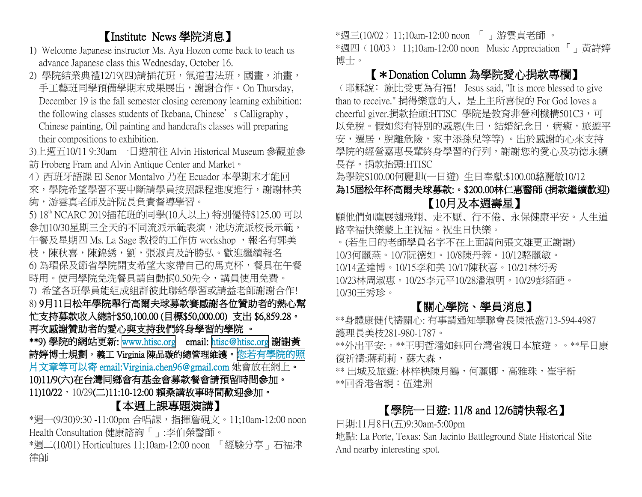# 【Institute News 學院消息】

- 1) Welcome Japanese instructor Ms. Aya Hozon come back to teach us advance Japanese class this Wednesday, October 16.
- 2) 學院結業典禮12/19(四)請插花班,氣道書法班,國畫,油畫, 手工藝班同學預備學期末成果展出,謝謝合作。On Thursday, December 19 is the fall semester closing ceremony learning exhibition: the following classes students of Ikebana, Chinese's Calligraphy, Chinese painting, Oil painting and handcrafts classes will preparing their compositions to exhibition.
- 3)上週五10/11 9:30am 一日遊前往 Alvin Historical Museum 參觀並參 訪 Froberg Fram and Alvin Antique Center and Market。
- 4) 西班牙語課 El Senor Montalvo 乃在 Ecuador 本學期末才能回 來,學院希望學習不要中斷請學員按照課程進度進行,謝謝林美 絢,游雲真老師及許院長負責督導學習。
- 5) 18 th NCARC 2019插花班的同學(10人以上) 特別優待\$125.00 可以 參加10/30星期三全天的不同流派示範表演,池坊流派校長示範, 午餐及星期四 Ms. La Sage 教授的工作仿 workshop, 報名有郭美 枝,陳秋喜,陳錦綉,劉,張淑貞及許勝弘。歡迎繼續報名 6) 為環保及節省學院開支希望大家帶自己的馬克杯,餐具在午餐 時用。使用學院免洗餐具請自動捐0.50先令,講員使用免費。 7) 希望各班學員能組成組群彼此聯絡學習或請益老師謝謝合作! 8) 9月11日松年學院舉行高爾夫球募款賽感謝各位贊助者的熱心幫 忙支持募款收入總計\$50,100.00 (目標\$50,000.00) 支出 \$6,859.28。
- 再次感謝贊助者的愛心與支持我們終身學習的學院 。

\*\*9) 學院的網站更新: [www.htisc.org](http://www.htisc.org) email: [htisc@htisc.org](mailto:htisc@htisc.org) 謝謝黃 詩婷博士規劃,義工 Virginia 陳品璇的總管理維護[。您若有學院的照](mailto:您若有學院的照片文章等可以寄email:Virginia.chen96@gmail.com) 片文章等可以寄 email:Virginia.chen96@gmail.com 她會放在網上。 10)11/9(六)在台灣同鄉會有基金會募款餐會請預留時間參加。 11)10/22, 10/29(二)11:10-12:00 賴桑講故事時間歡迎參加。

## 【本週上課專題演講】

\*週一(9/30)9:30 -11:00pm 合唱課,指揮詹硯文。11;10am-12:00 noon Health Consultation 健康諮詢「」:李伯榮醫師。

\*週二(10/01) Horticultures 11;10am-12:00 noon 「經驗分享」石福津 律師

\*週三(10/02﹚11;10am-12:00 noon 「 」游雲貞老師 。

 **\*週四** (10/03) 11;10am-12:00 noon Music Appreciation 「」黃詩婷 博士。

# 【\*Donation Column 為學院愛心捐款專欄】

﹙耶穌說﹕施比受更為有福﹗ Jesus said, "It is more blessed to give than to receive." 捐得樂意的人﹐是上主所喜悅的 For God loves a cheerful giver.捐款抬頭:HTISC 學院是教育非營利機構501C3,可 以免稅。假如您有特別的感恩(生日,結婚紀念日,病癒,旅遊平 安,遷居,脫離危險,家中添孫兒等等)。出於感謝的心來支持 學院的經營嘉惠長輩終身學習的行列,謝謝您的愛心及功德永續 長存。捐款抬頭:HTISC

為學院\$100.00何麗卿(一日遊) 生日奉獻:\$100.00駱麗敏10/12

### 為15屆松年杯高爾夫球募款:。\$200.00林仁惠醫師 (捐款繼續歡迎) 【10月及本週壽星】

願他們如鷹展翅飛翔、走不厭、行不倦、永保健康平安。人生道 路幸福快樂蒙上主祝福。祝生日快樂。

。(若生日的老師學員名字不在上面請向張文雄更正謝謝) 10/3何麗燕。10/7阮德如。10/8陳丹蓉。10/12駱麗敏。 10/14孟達博。10/15李和美 10/17陳秋喜。10/21林衍秀 10/23林周淑惠。10/25李元平10/28潘淑明。10/29彭紹葩。 10/30王秀珍。

# 【關心學院、學員消息】

\*\*身體康健代禱關心: 有事請通知學聯會長陳祇盛713-594-4987 護理長美枝281-980-1787。

\*\*外出平安:。\*\*王明哲潘如鈺回台灣省親日本旅遊。。\*\*早日康 復祈禱:蔣莉莉,蘇大森,

\*\* 出城及旅遊: 林梓秧陳月鶴,何麗卿,高雅珠,崔宇新 \*\*回香港省親:伍建洲

# 【學院一日遊: 11/8 and 12/6請快報名】

日期:11月8日(五)9:30am-5:00pm

地點: La Porte, Texas: San Jacinto Battleground State Historical Site And nearby interesting spot.